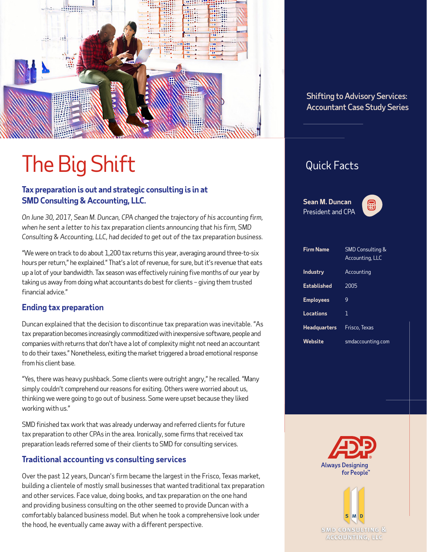

# The Big Shift

#### **Tax preparation is out and strategic consulting is in at SMD Consulting & Accounting, LLC.**

*On June 30, 2017, Sean M. Duncan, CPA changed the trajectory of his accounting firm, when he sent a letter to his tax preparation clients announcing that his firm, SMD Consulting & Accounting, LLC, had decided to get out of the tax preparation business.*

"We were on track to do about 1,200 tax returns this year, averaging around three-to-six hours per return," he explained." That's a lot of revenue, for sure, but it's revenue that eats up a lot of your bandwidth. Tax season was effectively ruining five months of our year by taking us away from doing what accountants do best for clients – giving them trusted financial advice."

#### **Ending tax preparation**

Duncan explained that the decision to discontinue tax preparation was inevitable. "As tax preparation becomes increasingly commoditized with inexpensive software, people and companies with returns that don't have a lot of complexity might not need an accountant to do their taxes." Nonetheless, exiting the market triggered a broad emotional response from his client base.

"Yes, there was heavy pushback. Some clients were outright angry," he recalled. "Many simply couldn't comprehend our reasons for exiting. Others were worried about us, thinking we were going to go out of business. Some were upset because they liked working with us."

SMD finished tax work that was already underway and referred clients for future tax preparation to other CPAs in the area. Ironically, some firms that received tax preparation leads referred some of their clients to SMD for consulting services.

#### **Traditional accounting vs consulting services**

Over the past 12 years, Duncan's firm became the largest in the Frisco, Texas market, building a clientele of mostly small businesses that wanted traditional tax preparation and other services. Face value, doing books, and tax preparation on the one hand and providing business consulting on the other seemed to provide Duncan with a comfortably balanced business model. But when he took a comprehensive look under the hood, he eventually came away with a different perspective.

#### Shifting to Advisory Services: Accountant Case Study Series

### Quick Facts

**Sean M. Duncan** President and CPA



| <b>Firm Name</b>    | <b>SMD Consulting &amp;</b><br><b>Accounting, LLC</b> |
|---------------------|-------------------------------------------------------|
| <b>Industry</b>     | Accounting                                            |
| Established         | 2005                                                  |
| <b>Employees</b>    | 9                                                     |
| Locations           | 1                                                     |
| <b>Headquarters</b> | Frisco, Texas                                         |
| Website             | smdaccounting.com                                     |



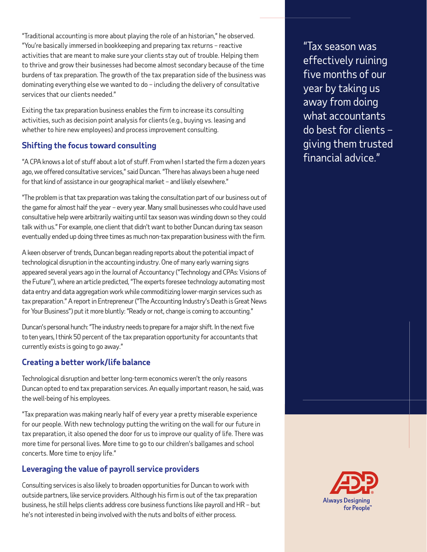"Traditional accounting is more about playing the role of an historian," he observed. "You're basically immersed in bookkeeping and preparing tax returns – reactive activities that are meant to make sure your clients stay out of trouble. Helping them to thrive and grow their businesses had become almost secondary because of the time burdens of tax preparation. The growth of the tax preparation side of the business was dominating everything else we wanted to do – including the delivery of consultative services that our clients needed."

Exiting the tax preparation business enables the firm to increase its consulting activities, such as decision point analysis for clients (e.g., buying vs. leasing and whether to hire new employees) and process improvement consulting.

#### **Shifting the focus toward consulting**

"A CPA knows a lot of stuff about a lot of stuff. From when I started the firm a dozen years ago, we offered consultative services," said Duncan. "There has always been a huge need for that kind of assistance in our geographical market – and likely elsewhere."

"The problem is that tax preparation was taking the consultation part of our business out of the game for almost half the year – every year. Many small businesses who could have used consultative help were arbitrarily waiting until tax season was winding down so they could talk with us." For example, one client that didn't want to bother Duncan during tax season eventually ended up doing three times as much non-tax preparation business with the firm.

A keen observer of trends, Duncan began reading reports about the potential impact of technological disruption in the accounting industry. One of many early warning signs appeared several years ago in the Journal of Accountancy ("Technology and CPAs: Visions of the Future"), where an article predicted, "The experts foresee technology automating most data entry and data aggregation work while commoditizing lower-margin services such as tax preparation." A report in Entrepreneur ("The Accounting Industry's Death is Great News for Your Business") put it more bluntly: "Ready or not, change is coming to accounting."

Duncan's personal hunch: "The industry needs to prepare for a major shift. In the next five to ten years, I think 50 percent of the tax preparation opportunity for accountants that currently exists is going to go away."

#### **Creating a better work/life balance**

Technological disruption and better long-term economics weren't the only reasons Duncan opted to end tax preparation services. An equally important reason, he said, was the well-being of his employees.

"Tax preparation was making nearly half of every year a pretty miserable experience for our people. With new technology putting the writing on the wall for our future in tax preparation, it also opened the door for us to improve our quality of life. There was more time for personal lives. More time to go to our children's ballgames and school concerts. More time to enjoy life."

#### **Leveraging the value of payroll service providers**

Consulting services is also likely to broaden opportunities for Duncan to work with outside partners, like service providers. Although his firm is out of the tax preparation business, he still helps clients address core business functions like payroll and HR – but he's not interested in being involved with the nuts and bolts of either process.

"Tax season was effectively ruining five months of our year by taking us away from doing what accountants do best for clients – giving them trusted financial advice."